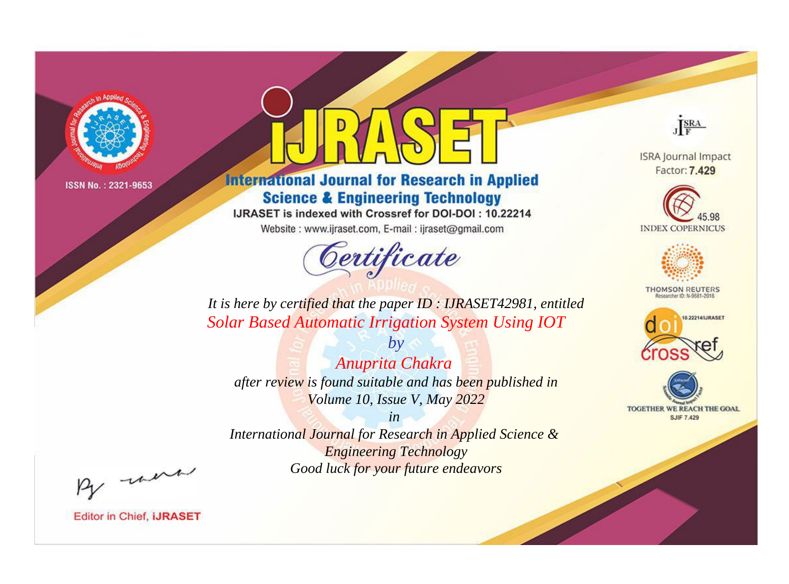

# **International Journal for Research in Applied Science & Engineering Technology**

IJRASET is indexed with Crossref for DOI-DOI: 10.22214

Website: www.ijraset.com, E-mail: ijraset@gmail.com



JERA

**ISRA Journal Impact** Factor: 7.429





**THOMSON REUTERS** 



TOGETHER WE REACH THE GOAL **SJIF 7.429** 

*It is here by certified that the paper ID : IJRASET42981, entitled Solar Based Automatic Irrigation System Using IOT*

*by Anuprita Chakra after review is found suitable and has been published in Volume 10, Issue V, May 2022*

*in* 

*International Journal for Research in Applied Science & Engineering Technology Good luck for your future endeavors*

By morn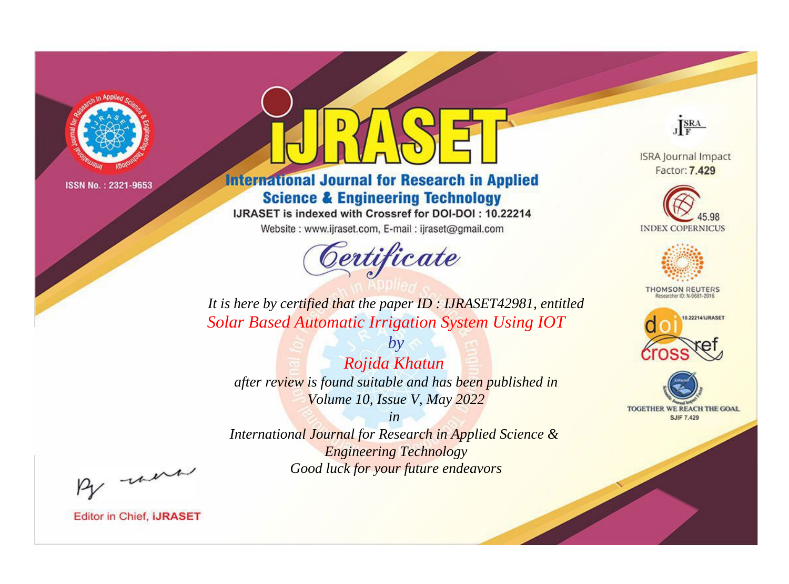

# **International Journal for Research in Applied Science & Engineering Technology**

IJRASET is indexed with Crossref for DOI-DOI: 10.22214

Website: www.ijraset.com, E-mail: ijraset@gmail.com



JERA

**ISRA Journal Impact** Factor: 7.429





**THOMSON REUTERS** 



TOGETHER WE REACH THE GOAL **SJIF 7.429** 

*It is here by certified that the paper ID : IJRASET42981, entitled Solar Based Automatic Irrigation System Using IOT*

*by Rojida Khatun after review is found suitable and has been published in Volume 10, Issue V, May 2022*

*in* 

*International Journal for Research in Applied Science & Engineering Technology Good luck for your future endeavors*

By morn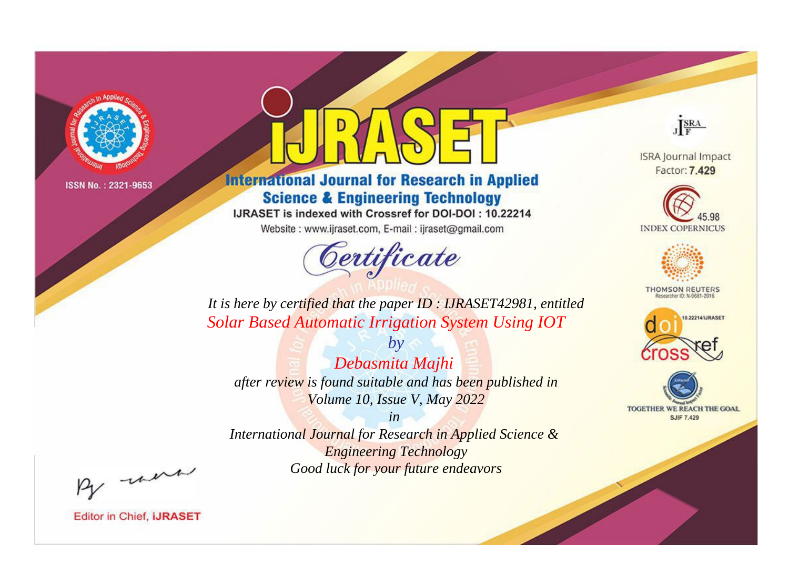

# **International Journal for Research in Applied Science & Engineering Technology**

IJRASET is indexed with Crossref for DOI-DOI: 10.22214

Website: www.ijraset.com, E-mail: ijraset@gmail.com



JERA

**ISRA Journal Impact** Factor: 7.429





**THOMSON REUTERS** 



TOGETHER WE REACH THE GOAL **SJIF 7.429** 

*It is here by certified that the paper ID : IJRASET42981, entitled Solar Based Automatic Irrigation System Using IOT*

*Debasmita Majhi after review is found suitable and has been published in Volume 10, Issue V, May 2022*

*by*

*in* 

*International Journal for Research in Applied Science & Engineering Technology Good luck for your future endeavors*

By morn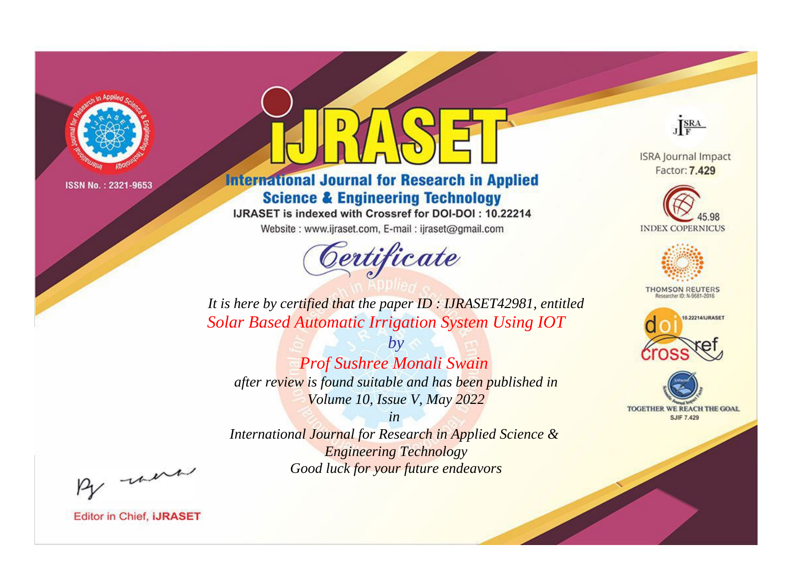

# **International Journal for Research in Applied Science & Engineering Technology**

IJRASET is indexed with Crossref for DOI-DOI: 10.22214

Website: www.ijraset.com, E-mail: ijraset@gmail.com



JERA

**ISRA Journal Impact** Factor: 7.429





**THOMSON REUTERS** 



TOGETHER WE REACH THE GOAL **SJIF 7.429** 

*It is here by certified that the paper ID : IJRASET42981, entitled Solar Based Automatic Irrigation System Using IOT*

*by Prof Sushree Monali Swain after review is found suitable and has been published in Volume 10, Issue V, May 2022*

*in* 

*International Journal for Research in Applied Science & Engineering Technology Good luck for your future endeavors*

By morn